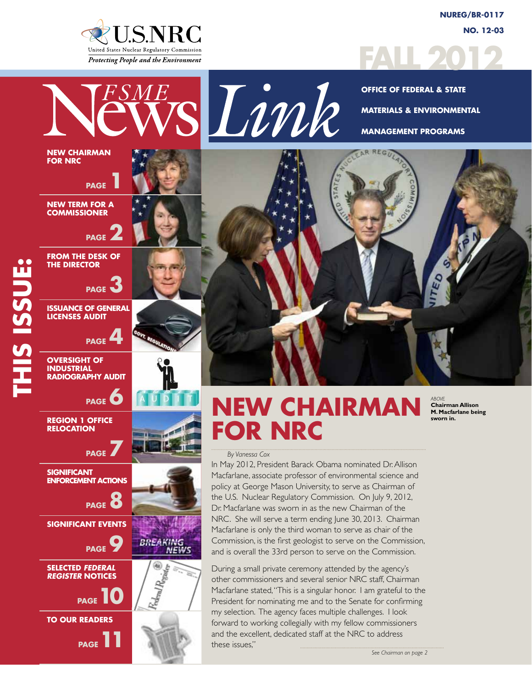

**NUREG/BR-0117 No. 12-03**



sLink **Office of Federal & State Materials & Environmental Management Programs** AR REGU **New Term for a PAGE From the Desk of PAGE Issuance of General PAGE RADIOGRAPHY AUDIT PAGE**<sup>6</sup>

# **NEW CHAIRMA FOR NRC**

*ABOVE* **Chairman Allison M. Macfarlane being sworn in.**

#### *By Vanessa Cox*

In May 2012, President Barack Obama nominated Dr. Allison Macfarlane, associate professor of environmental science and policy at George Mason University, to serve as Chairman of the U.S. Nuclear Regulatory Commission. On July 9, 2012, Dr. Macfarlane was sworn in as the new Chairman of the NRC. She will serve a term ending June 30, 2013. Chairman Macfarlane is only the third woman to serve as chair of the Commission, is the first geologist to serve on the Commission, and is overall the 33rd person to serve on the Commission.

During a small private ceremony attended by the agency's other commissioners and several senior NRC staff, Chairman Macfarlane stated, "This is a singular honor. I am grateful to the President for nominating me and to the Senate for confirming my selection. The agency faces multiple challenges. I look forward to working collegially with my fellow commissioners and the excellent, dedicated staff at the NRC to address these issues,"

**HIS ISSUE: THIS ISSUE:**

> **Region 1 Office Relocation**

**New Chairman for NRC**

**Commissioner**

**the Director**

**Licenses Audit**

**OVERSIGHT OF INDUSTRIAL**

**PAGE** 



*See Chairman on page 2*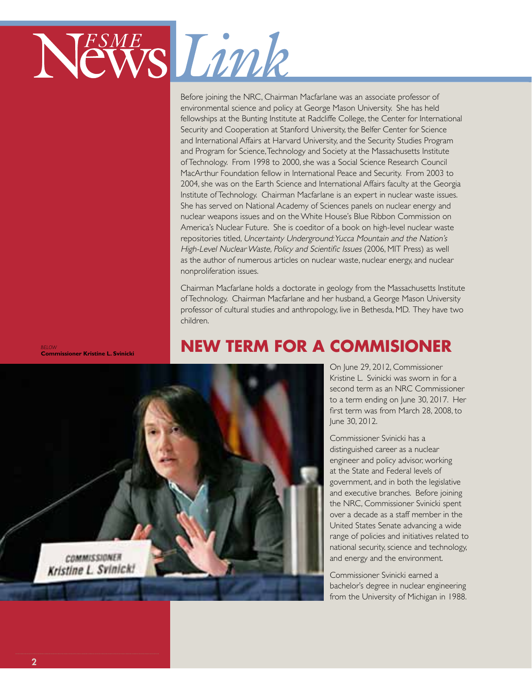

Before joining the NRC, Chairman Macfarlane was an associate professor of environmental science and policy at George Mason University. She has held fellowships at the Bunting Institute at Radcliffe College, the Center for International Security and Cooperation at Stanford University, the Belfer Center for Science and International Affairs at Harvard University, and the Security Studies Program and Program for Science, Technology and Society at the Massachusetts Institute of Technology. From 1998 to 2000, she was a Social Science Research Council MacArthur Foundation fellow in International Peace and Security. From 2003 to 2004, she was on the Earth Science and International Affairs faculty at the Georgia Institute of Technology. Chairman Macfarlane is an expert in nuclear waste issues. She has served on National Academy of Sciences panels on nuclear energy and nuclear weapons issues and on the White House's Blue Ribbon Commission on America's Nuclear Future. She is coeditor of a book on high-level nuclear waste repositories titled, Uncertainty Underground: Yucca Mountain and the Nation's High-Level Nuclear Waste, Policy and Scientific Issues (2006, MIT Press) as well as the author of numerous articles on nuclear waste, nuclear energy, and nuclear nonproliferation issues.

Chairman Macfarlane holds a doctorate in geology from the Massachusetts Institute of Technology. Chairman Macfarlane and her husband, a George Mason University professor of cultural studies and anthropology, live in Bethesda, MD. They have two children.

*BELOW* **Commissioner Kristine L. Svinicki**

# **NEW TERM FOR A COMMISIONER**



On June 29, 2012, Commissioner Kristine L. Svinicki was sworn in for a second term as an NRC Commissioner to a term ending on June 30, 2017. Her first term was from March 28, 2008, to June 30, 2012.

Commissioner Svinicki has a distinguished career as a nuclear engineer and policy advisor, working at the State and Federal levels of government, and in both the legislative and executive branches. Before joining the NRC, Commissioner Svinicki spent over a decade as a staff member in the United States Senate advancing a wide range of policies and initiatives related to national security, science and technology, and energy and the environment.

Commissioner Svinicki earned a bachelor's degree in nuclear engineering from the University of Michigan in 1988.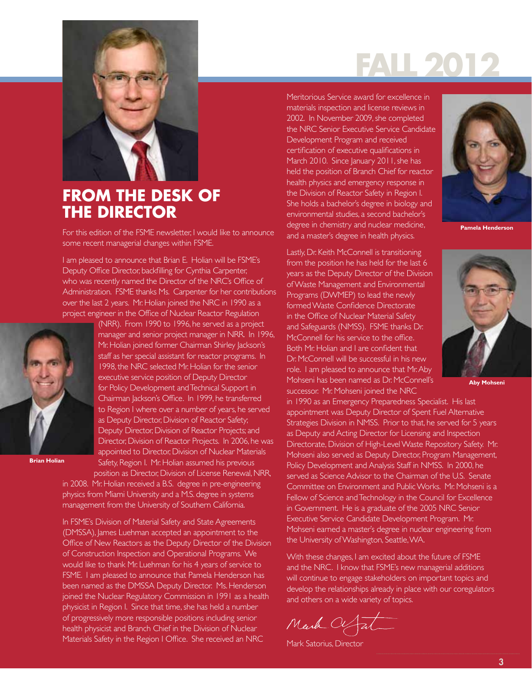

# **FROM THE DESK OF THE DIRECTOR**

For this edition of the FSME newsletter, I would like to announce some recent managerial changes within FSME.

I am pleased to announce that Brian E. Holian will be FSME's Deputy Office Director, backfilling for Cynthia Carpenter, who was recently named the Director of the NRC's Office of Administration. FSME thanks Ms. Carpenter for her contributions over the last 2 years. Mr. Holian joined the NRC in 1990 as a project engineer in the Office of Nuclear Reactor Regulation



**Brian Holian**

(NRR). From 1990 to 1996, he served as a project manager and senior project manager in NRR. In 1996, Mr. Holian joined former Chairman Shirley Jackson's staff as her special assistant for reactor programs. In 1998, the NRC selected Mr. Holian for the senior executive service position of Deputy Director for Policy Development and Technical Support in Chairman Jackson's Office. In 1999, he transferred to Region I where over a number of years, he served as Deputy Director, Division of Reactor Safety; Deputy Director, Division of Reactor Projects; and Director, Division of Reactor Projects. In 2006, he was appointed to Director, Division of Nuclear Materials Safety, Region I. Mr. Holian assumed his previous position as Director, Division of License Renewal, NRR,

in 2008. Mr. Holian received a B.S. degree in pre-engineering physics from Miami University and a M.S. degree in systems management from the University of Southern California.

In FSME's Division of Material Safety and State Agreements (DMSSA), James Luehman accepted an appointment to the Office of New Reactors as the Deputy Director of the Division of Construction Inspection and Operational Programs. We would like to thank Mr. Luehman for his 4 years of service to FSME. I am pleased to announce that Pamela Henderson has been named as the DMSSA Deputy Director. Ms. Henderson joined the Nuclear Regulatory Commission in 1991 as a health physicist in Region I. Since that time, she has held a number of progressively more responsible positions including senior health physicist and Branch Chief in the Division of Nuclear Materials Safety in the Region I Office. She received an NRC

Meritorious Service award for excellence in materials inspection and license reviews in 2002. In November 2009, she completed the NRC Senior Executive Service Candidate Development Program and received certification of executive qualifications in March 2010. Since January 2011, she has held the position of Branch Chief for reactor health physics and emergency response in the Division of Reactor Safety in Region I. She holds a bachelor's degree in biology and environmental studies, a second bachelor's degree in chemistry and nuclear medicine, and a master's degree in health physics.

Lastly, Dr. Keith McConnell is transitioning from the position he has held for the last 6 years as the Deputy Director of the Division of Waste Management and Environmental Programs (DWMEP) to lead the newly formed Waste Confidence Directorate in the Office of Nuclear Material Safety and Safeguards (NMSS). FSME thanks Dr. McConnell for his service to the office. Both Mr. Holian and I are confident that Dr. McConnell will be successful in his new role. I am pleased to announce that Mr. Aby Mohseni has been named as Dr. McConnell's successor. Mr. Mohseni joined the NRC



**Pamela Henderson**



**Aby Mohseni**

in 1990 as an Emergency Preparedness Specialist. His last appointment was Deputy Director of Spent Fuel Alternative Strategies Division in NMSS. Prior to that, he served for 5 years as Deputy and Acting Director for Licensing and Inspection Directorate, Division of High-Level Waste Repository Safety. Mr. Mohseni also served as Deputy Director, Program Management, Policy Development and Analysis Staff in NMSS. In 2000, he served as Science Advisor to the Chairman of the U.S. Senate Committee on Environment and Public Works. Mr. Mohseni is a Fellow of Science and Technology in the Council for Excellence in Government. He is a graduate of the 2005 NRC Senior Executive Service Candidate Development Program. Mr. Mohseni earned a master's degree in nuclear engineering from the University of Washington, Seattle, WA.

With these changes, I am excited about the future of FSME and the NRC. I know that FSME's new managerial additions will continue to engage stakeholders on important topics and develop the relationships already in place with our coregulators and others on a wide variety of topics.

Mark Of Tal

Mark Satorius, Director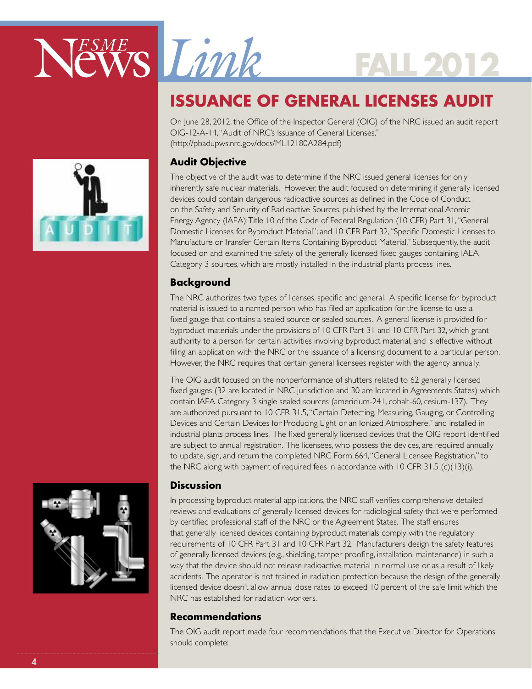

# **ISSUANCE OF GENERAL LICENSES AUDIT**

On June 28, 2012, the Office of the Inspector General (OIG) of the NRC issued an audit report OIG-12-A-14, "Audit of NRC's Issuance of General Licenses," (http://pbadupws.nrc.gov/docs/ML12180A284.pdf)

# **Audit Objective**

The objective of the audit was to determine if the NRC issued general licenses for only inherently safe nuclear materials. However, the audit focused on determining if generally licensed devices could contain dangerous radioactive sources as defined in the Code of Conduct on the Safety and Security of Radioactive Sources, published by the International Atomic Energy Agency (IAEA); Title 10 of the Code of Federal Regulation (10 CFR) Part 31, "General Domestic Licenses for Byproduct Material"; and 10 CFR Part 32, "Specific Domestic Licenses to Manufacture or Transfer Certain Items Containing Byproduct Material." Subsequently, the audit focused on and examined the safety of the generally licensed fixed gauges containing IAEA Category 3 sources, which are mostly installed in the industrial plants process lines.

## **Background**

The NRC authorizes two types of licenses, specific and general. A specific license for byproduct material is issued to a named person who has filed an application for the license to use a fixed gauge that contains a sealed source or sealed sources. A general license is provided for byproduct materials under the provisions of 10 CFR Part 31 and 10 CFR Part 32, which grant authority to a person for certain activities involving byproduct material, and is effective without filing an application with the NRC or the issuance of a licensing document to a particular person. However, the NRC requires that certain general licensees register with the agency annually.

The OIG audit focused on the nonperformance of shutters related to 62 generally licensed fixed gauges (32 are located in NRC jurisdiction and 30 are located in Agreements States) which contain IAEA Category 3 single sealed sources (americium-241, cobalt-60, cesium-137). They are authorized pursuant to 10 CFR 31.5, "Certain Detecting, Measuring, Gauging, or Controlling Devices and Certain Devices for Producing Light or an Ionized Atmosphere," and installed in industrial plants process lines. The fixed generally licensed devices that the OIG report identified are subject to annual registration. The licensees, who possess the devices, are required annually to update, sign, and return the completed NRC Form 664, "General Licensee Registration," to the NRC along with payment of required fees in accordance with  $10$  CFR  $31.5$  (c)( $13$ )(i).

## **Discussion**

In processing byproduct material applications, the NRC staff verifies comprehensive detailed reviews and evaluations of generally licensed devices for radiological safety that were performed by certified professional staff of the NRC or the Agreement States. The staff ensures that generally licensed devices containing byproduct materials comply with the regulatory requirements of 10 CFR Part 31 and 10 CFR Part 32. Manufacturers design the safety features of generally licensed devices (e.g., shielding, tamper proofing, installation, maintenance) in such a way that the device should not release radioactive material in normal use or as a result of likely accidents. The operator is not trained in radiation protection because the design of the generally licensed device doesn't allow annual dose rates to exceed 10 percent of the safe limit which the NRC has established for radiation workers.

## **Recommendations**

The OIG audit report made four recommendations that the Executive Director for Operations should complete:



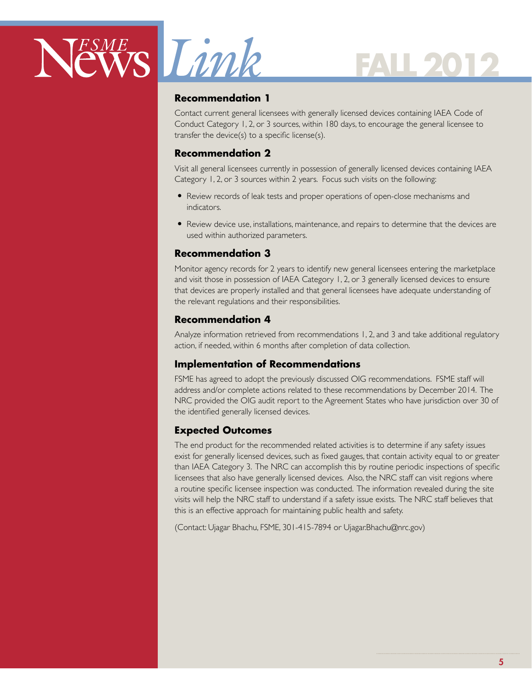

### **Recommendation 1**

Contact current general licensees with generally licensed devices containing IAEA Code of Conduct Category 1, 2, or 3 sources, within 180 days, to encourage the general licensee to transfer the device(s) to a specific license(s).

### **Recommendation 2**

Visit all general licensees currently in possession of generally licensed devices containing IAEA Category 1, 2, or 3 sources within 2 years. Focus such visits on the following:

- Review records of leak tests and proper operations of open-close mechanisms and indicators.
- Review device use, installations, maintenance, and repairs to determine that the devices are used within authorized parameters.

### **Recommendation 3**

Monitor agency records for 2 years to identify new general licensees entering the marketplace and visit those in possession of IAEA Category 1, 2, or 3 generally licensed devices to ensure that devices are properly installed and that general licensees have adequate understanding of the relevant regulations and their responsibilities.

### **Recommendation 4**

Analyze information retrieved from recommendations 1, 2, and 3 and take additional regulatory action, if needed, within 6 months after completion of data collection.

## **Implementation of Recommendations**

FSME has agreed to adopt the previously discussed OIG recommendations. FSME staff will address and/or complete actions related to these recommendations by December 2014. The NRC provided the OIG audit report to the Agreement States who have jurisdiction over 30 of the identified generally licensed devices.

## **Expected Outcomes**

The end product for the recommended related activities is to determine if any safety issues exist for generally licensed devices, such as fixed gauges, that contain activity equal to or greater than IAEA Category 3. The NRC can accomplish this by routine periodic inspections of specific licensees that also have generally licensed devices. Also, the NRC staff can visit regions where a routine specific licensee inspection was conducted. The information revealed during the site visits will help the NRC staff to understand if a safety issue exists. The NRC staff believes that this is an effective approach for maintaining public health and safety.

(Contact: Ujagar Bhachu, FSME, 301-415-7894 or Ujagar.Bhachu@nrc.gov)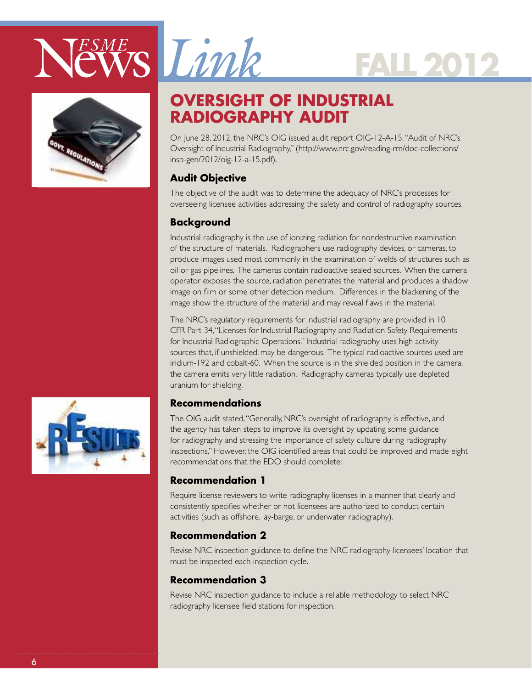





# **Oversight of Industrial Radiography Audit**

On June 28, 2012, the NRC's OIG issued audit report OIG-12-A-15, "Audit of NRC's Oversight of Industrial Radiography," (http://www.nrc.gov/reading-rm/doc-collections/ insp-gen/2012/oig-12-a-15.pdf).

# **Audit Objective**

The objective of the audit was to determine the adequacy of NRC's processes for overseeing licensee activities addressing the safety and control of radiography sources.

# **Background**

Industrial radiography is the use of ionizing radiation for nondestructive examination of the structure of materials. Radiographers use radiography devices, or cameras, to produce images used most commonly in the examination of welds of structures such as oil or gas pipelines. The cameras contain radioactive sealed sources. When the camera operator exposes the source, radiation penetrates the material and produces a shadow image on film or some other detection medium. Differences in the blackening of the image show the structure of the material and may reveal flaws in the material.

The NRC's regulatory requirements for industrial radiography are provided in 10 CFR Part 34, "Licenses for Industrial Radiography and Radiation Safety Requirements for Industrial Radiographic Operations." Industrial radiography uses high activity sources that, if unshielded, may be dangerous. The typical radioactive sources used are iridium-192 and cobalt-60. When the source is in the shielded position in the camera, the camera emits very little radiation. Radiography cameras typically use depleted uranium for shielding.

## **Recommendations**

The OIG audit stated, "Generally, NRC's oversight of radiography is effective, and the agency has taken steps to improve its oversight by updating some guidance for radiography and stressing the importance of safety culture during radiography inspections." However, the OIG identified areas that could be improved and made eight recommendations that the EDO should complete:

# **Recommendation 1**

Require license reviewers to write radiography licenses in a manner that clearly and consistently specifies whether or not licensees are authorized to conduct certain activities (such as offshore, lay-barge, or underwater radiography).

## **Recommendation 2**

Revise NRC inspection guidance to define the NRC radiography licensees' location that must be inspected each inspection cycle.

## **Recommendation 3**

Revise NRC inspection guidance to include a reliable methodology to select NRC radiography licensee field stations for inspection.

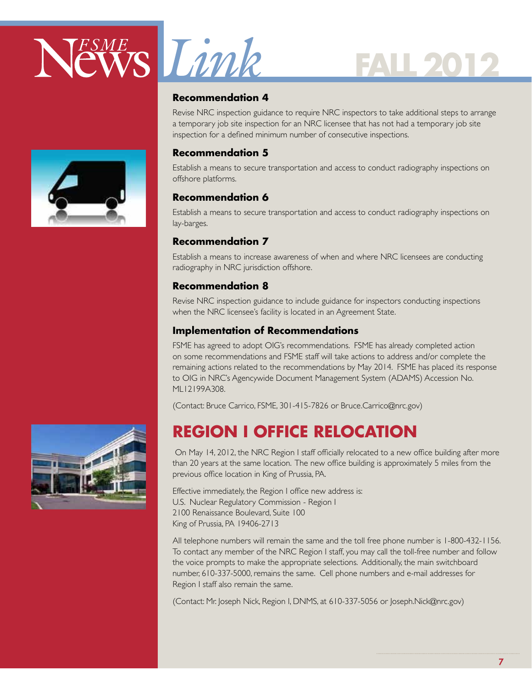

#### **Recommendation 4**

Revise NRC inspection guidance to require NRC inspectors to take additional steps to arrange a temporary job site inspection for an NRC licensee that has not had a temporary job site inspection for a defined minimum number of consecutive inspections.

#### **Recommendation 5**

Establish a means to secure transportation and access to conduct radiography inspections on offshore platforms.

#### **Recommendation 6**

Establish a means to secure transportation and access to conduct radiography inspections on lay-barges.

#### **Recommendation 7**

Establish a means to increase awareness of when and where NRC licensees are conducting radiography in NRC jurisdiction offshore.

#### **Recommendation 8**

Revise NRC inspection guidance to include guidance for inspectors conducting inspections when the NRC licensee's facility is located in an Agreement State.

#### **Implementation of Recommendations**

FSME has agreed to adopt OIG's recommendations. FSME has already completed action on some recommendations and FSME staff will take actions to address and/or complete the remaining actions related to the recommendations by May 2014. FSME has placed its response to OIG in NRC's Agencywide Document Management System (ADAMS) Accession No. ML12199A308.

(Contact: Bruce Carrico, FSME, 301-415-7826 or Bruce.Carrico@nrc.gov)

# **Region I Office Relocation**

 On May 14, 2012, the NRC Region I staff officially relocated to a new office building after more than 20 years at the same location. The new office building is approximately 5 miles from the previous office location in King of Prussia, PA.

Effective immediately, the Region I office new address is: U.S. Nuclear Regulatory Commission - Region I 2100 Renaissance Boulevard, Suite 100 King of Prussia, PA 19406-2713

All telephone numbers will remain the same and the toll free phone number is 1-800-432-1156. To contact any member of the NRC Region I staff, you may call the toll-free number and follow the voice prompts to make the appropriate selections. Additionally, the main switchboard number, 610-337-5000, remains the same. Cell phone numbers and e-mail addresses for Region I staff also remain the same.

(Contact: Mr. Joseph Nick, Region I, DNMS, at 610-337-5056 or Joseph.Nick@nrc.gov)

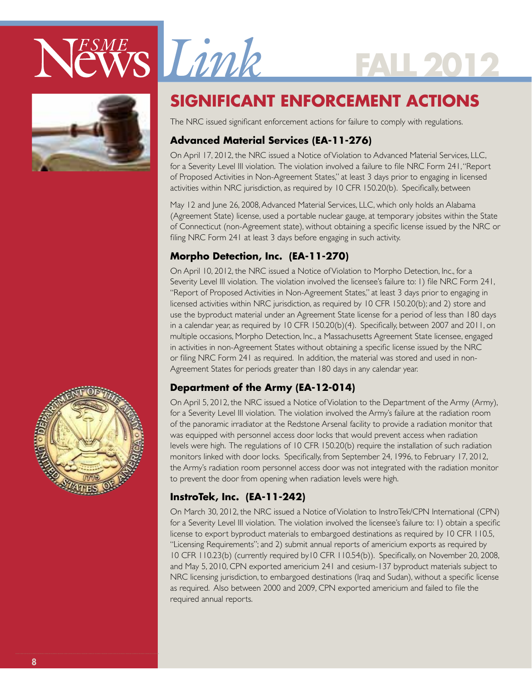





# **SIGNIFICANT ENFORCEMENT ACTIONS**

The NRC issued significant enforcement actions for failure to comply with regulations.

# **Advanced Material Services (EA-11-276)**

On April 17, 2012, the NRC issued a Notice of Violation to Advanced Material Services, LLC, for a Severity Level III violation. The violation involved a failure to file NRC Form 241, "Report of Proposed Activities in Non-Agreement States," at least 3 days prior to engaging in licensed activities within NRC jurisdiction, as required by 10 CFR 150.20(b). Specifically, between

May 12 and June 26, 2008, Advanced Material Services, LLC, which only holds an Alabama (Agreement State) license, used a portable nuclear gauge, at temporary jobsites within the State of Connecticut (non-Agreement state), without obtaining a specific license issued by the NRC or filing NRC Form 241 at least 3 days before engaging in such activity.

# **Morpho Detection, Inc. (EA-11-270)**

On April 10, 2012, the NRC issued a Notice of Violation to Morpho Detection, Inc., for a Severity Level III violation. The violation involved the licensee's failure to: 1) file NRC Form 241, "Report of Proposed Activities in Non-Agreement States," at least 3 days prior to engaging in licensed activities within NRC jurisdiction, as required by 10 CFR 150.20(b); and 2) store and use the byproduct material under an Agreement State license for a period of less than 180 days in a calendar year, as required by 10 CFR 150.20(b)(4). Specifically, between 2007 and 2011, on multiple occasions, Morpho Detection, Inc., a Massachusetts Agreement State licensee, engaged in activities in non-Agreement States without obtaining a specific license issued by the NRC or filing NRC Form 241 as required. In addition, the material was stored and used in non-Agreement States for periods greater than 180 days in any calendar year.

# **Department of the Army (EA-12-014)**

On April 5, 2012, the NRC issued a Notice of Violation to the Department of the Army (Army), for a Severity Level III violation. The violation involved the Army's failure at the radiation room of the panoramic irradiator at the Redstone Arsenal facility to provide a radiation monitor that was equipped with personnel access door locks that would prevent access when radiation levels were high. The regulations of 10 CFR 150.20(b) require the installation of such radiation monitors linked with door locks. Specifically, from September 24, 1996, to February 17, 2012, the Army's radiation room personnel access door was not integrated with the radiation monitor to prevent the door from opening when radiation levels were high.

# **InstroTek, Inc. (EA-11-242)**

On March 30, 2012, the NRC issued a Notice of Violation to InstroTek/CPN International (CPN) for a Severity Level III violation. The violation involved the licensee's failure to: 1) obtain a specific license to export byproduct materials to embargoed destinations as required by 10 CFR 110.5, "Licensing Requirements"; and 2) submit annual reports of americium exports as required by 10 CFR 110.23(b) (currently required by10 CFR 110.54(b)). Specifically, on November 20, 2008, and May 5, 2010, CPN exported americium 241 and cesium-137 byproduct materials subject to NRC licensing jurisdiction, to embargoed destinations (Iraq and Sudan), without a specific license as required. Also between 2000 and 2009, CPN exported americium and failed to file the required annual reports.

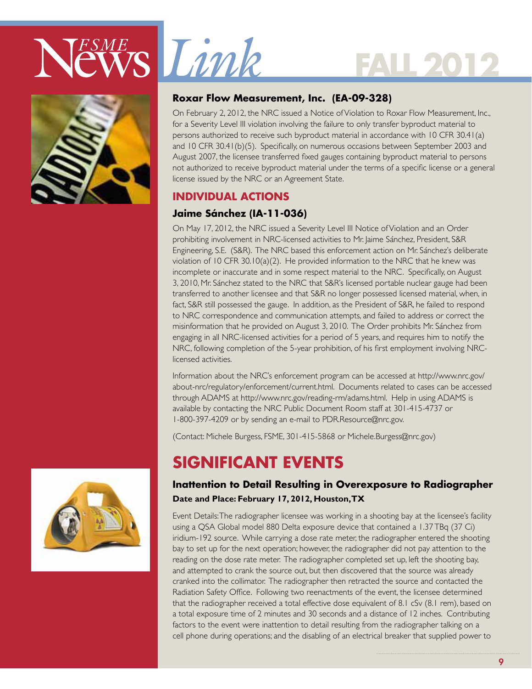



## **Roxar Flow Measurement, Inc. (EA-09-328)**

On February 2, 2012, the NRC issued a Notice of Violation to Roxar Flow Measurement, Inc., for a Severity Level III violation involving the failure to only transfer byproduct material to persons authorized to receive such byproduct material in accordance with 10 CFR 30.41(a) and 10 CFR 30.41(b)(5). Specifically, on numerous occasions between September 2003 and August 2007, the licensee transferred fixed gauges containing byproduct material to persons not authorized to receive byproduct material under the terms of a specific license or a general license issued by the NRC or an Agreement State.

**FALL 2012**

## **Individual Actions**

## **Jaime Sánchez (IA-11-036)**

On May 17, 2012, the NRC issued a Severity Level III Notice of Violation and an Order prohibiting involvement in NRC-licensed activities to Mr. Jaime Sánchez, President, S&R Engineering, S.E. (S&R). The NRC based this enforcement action on Mr. Sánchez's deliberate violation of 10 CFR 30.10(a)(2). He provided information to the NRC that he knew was incomplete or inaccurate and in some respect material to the NRC. Specifically, on August 3, 2010, Mr. Sánchez stated to the NRC that S&R's licensed portable nuclear gauge had been transferred to another licensee and that S&R no longer possessed licensed material, when, in fact, S&R still possessed the gauge. In addition, as the President of S&R, he failed to respond to NRC correspondence and communication attempts, and failed to address or correct the misinformation that he provided on August 3, 2010. The Order prohibits Mr. Sánchez from engaging in all NRC-licensed activities for a period of 5 years, and requires him to notify the NRC, following completion of the 5-year prohibition, of his first employment involving NRClicensed activities.

Information about the NRC's enforcement program can be accessed at http://www.nrc.gov/ about-nrc/regulatory/enforcement/current.html. Documents related to cases can be accessed through ADAMS at http://www.nrc.gov/reading-rm/adams.html. Help in using ADAMS is available by contacting the NRC Public Document Room staff at 301-415-4737 or 1-800-397-4209 or by sending an e-mail to PDR.Resource@nrc.gov.

(Contact: Michele Burgess, FSME, 301-415-5868 or Michele.Burgess@nrc.gov)

# **SIGNIFICANT EVENTS**

## **Inattention to Detail Resulting in Overexposure to Radiographer Date and Place: February 17, 2012, Houston, TX**

Event Details: The radiographer licensee was working in a shooting bay at the licensee's facility using a QSA Global model 880 Delta exposure device that contained a 1.37 TBq (37 Ci) iridium-192 source. While carrying a dose rate meter, the radiographer entered the shooting bay to set up for the next operation; however, the radiographer did not pay attention to the reading on the dose rate meter. The radiographer completed set up, left the shooting bay, and attempted to crank the source out, but then discovered that the source was already cranked into the collimator. The radiographer then retracted the source and contacted the Radiation Safety Office. Following two reenactments of the event, the licensee determined that the radiographer received a total effective dose equivalent of 8.1 cSv (8.1 rem), based on a total exposure time of 2 minutes and 30 seconds and a distance of 12 inches. Contributing factors to the event were inattention to detail resulting from the radiographer talking on a cell phone during operations; and the disabling of an electrical breaker that supplied power to

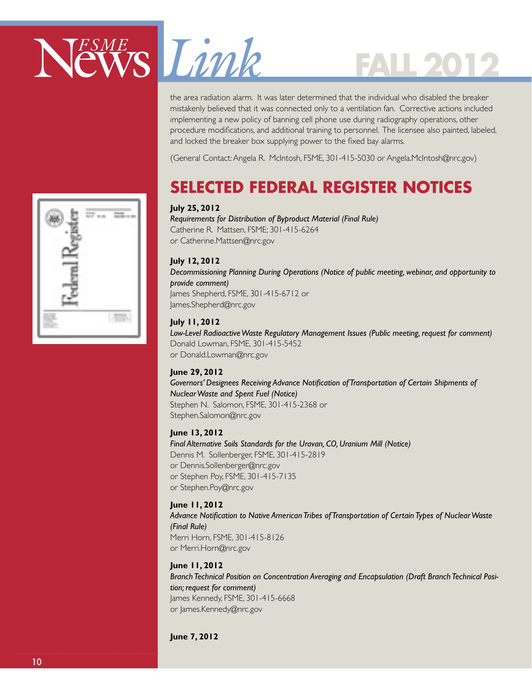

the area radiation alarm. It was later determined that the individual who disabled the breaker mistakenly believed that it was connected only to a ventilation fan. Corrective actions included implementing a new policy of banning cell phone use during radiography operations, other procedure modifications, and additional training to personnel. The licensee also painted, labeled, and locked the breaker box supplying power to the fixed bay alarms.

(General Contact: Angela R. McIntosh, FSME, 301-415-5030 or Angela.McIntosh@nrc.gov)

# **Selected Federal Register Notices**

#### **July 25, 2012**

*Requirements for Distribution of Byproduct Material (Final Rule)* Catherine R. Mattsen, FSME; 301-415-6264 or Catherine.Mattsen@nrc.gov

#### **July 12, 2012**

*Decommissioning Planning During Operations (Notice of public meeting, webinar, and opportunity to provide comment)* James Shepherd, FSME, 301-415-6712 or James.Shepherd@nrc.gov

#### **July 11, 2012**

*Low-Level Radioactive Waste Regulatory Management Issues (Public meeting, request for comment)* Donald Lowman, FSME, 301-415-5452 or Donald.Lowman@nrc.gov

#### **June 29, 2012**

*Governors' Designees Receiving Advance Notification of Transportation of Certain Shipments of Nuclear Waste and Spent Fuel (Notice)*

Stephen N. Salomon, FSME, 301-415-2368 or Stephen.Salomon@nrc.gov

#### **June 13, 2012**

*Final Alternative Soils Standards for the Uravan, CO, Uranium Mill (Notice)* Dennis M. Sollenberger, FSME, 301-415-2819 or Dennis.Sollenberger@nrc.gov or Stephen Poy, FSME, 301-415-7135 or Stephen.Poy@nrc.gov

#### **June 11, 2012**

*Advance Notification to Native American Tribes of Transportation of Certain Types of Nuclear Waste (Final Rule)* Merri Horn, FSME, 301-415-8126 or Merri.Horn@nrc.gov

#### **June 11, 2012**

*Branch Technical Position on Concentration Averaging and Encapsulation (Draft Branch Technical Position; request for comment)* James Kennedy, FSME, 301-415-6668 or James.Kennedy@nrc.gov

**June 7, 2012**